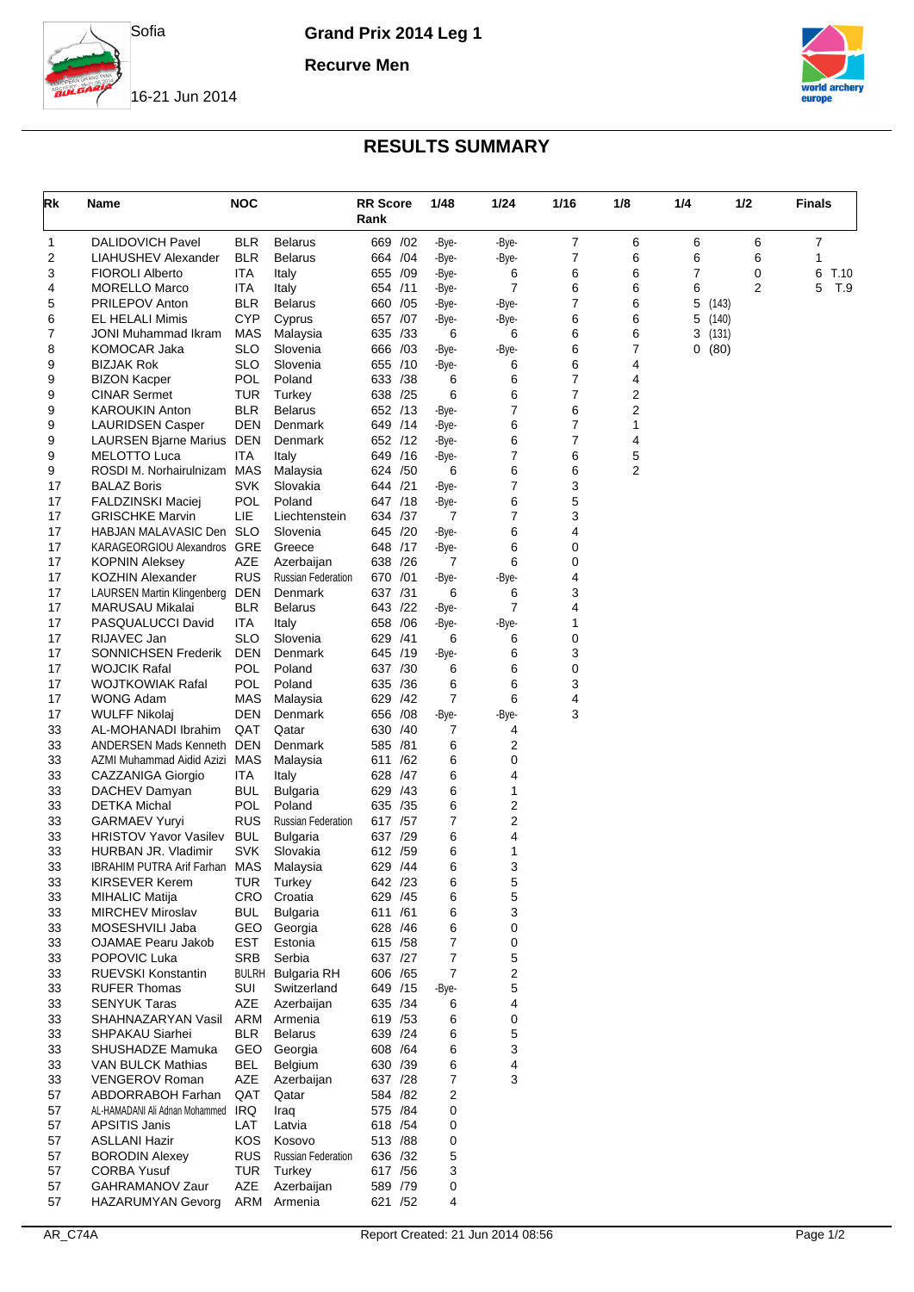

**Grand Prix 2014 Leg 1**

**Recurve Men**



16-21 Jun 2014

## **RESULTS SUMMARY**

| Rk       | <b>NOC</b><br>Name                                  |                    |                           | <b>RR Score</b><br>Rank |     | 1/48           | 1/24           | 1/16   | 1/8    | 1/4 | 1/2   | Finals    |  |
|----------|-----------------------------------------------------|--------------------|---------------------------|-------------------------|-----|----------------|----------------|--------|--------|-----|-------|-----------|--|
| 1        | <b>DALIDOVICH Pavel</b>                             | <b>BLR</b>         | Belarus                   | 669 /02                 |     | -Bye-          | -Bye-          | 7      | 6      | 6   | 6     | 7         |  |
| 2        | LIAHUSHEV Alexander                                 | <b>BLR</b>         | Belarus                   | 664 / 04                |     | -Bye-          | -Bye-          | 7      | 6      | 6   | 6     | 1         |  |
| 3        | <b>FIOROLI Alberto</b>                              | ITA                | Italy                     | 655 /09                 |     | -Bye-          | 6              | 6      | 6      | 7   | 0     | 6<br>T.10 |  |
| 4        | <b>MORELLO Marco</b>                                | ITA                | Italy                     | 654 /11                 |     | -Bye-          | $\overline{7}$ | 6      | 6      | 6   | 2     | 5<br>T.9  |  |
| 5        | <b>PRILEPOV Anton</b>                               | <b>BLR</b>         | <b>Belarus</b>            | 660 / 05                |     | -Bye-          | -Bye-          | 7      | 6      | 5   | (143) |           |  |
| 6        | EL HELALI Mimis                                     | <b>CYP</b>         | Cyprus                    | 657 /07                 |     | -Bye-          | -Bye-          | 6      | 6      | 5   | (140) |           |  |
| 7        | <b>JONI Muhammad Ikram</b>                          | MAS                | Malaysia                  | 635 / 33                |     | 6              | 6              | 6      | 6      | 3   | (131) |           |  |
| 8        | KOMOCAR Jaka                                        | <b>SLO</b>         | Slovenia                  | 666 /03                 |     | -Bye-          | -Bye-          | 6      | 7      | 0   | (80)  |           |  |
| 9        | <b>BIZJAK Rok</b>                                   | <b>SLO</b>         | Slovenia                  | 655 /10                 |     | -Bye-          | 6              | 6      | 4      |     |       |           |  |
| 9        | <b>BIZON Kacper</b>                                 | <b>POL</b>         | Poland                    | 633 / 38                |     | 6              | 6              | 7      | 4      |     |       |           |  |
| 9        | <b>CINAR Sermet</b>                                 | <b>TUR</b>         | Turkey                    | 638 / 25                |     | 6              | 6<br>7         | 7<br>6 | 2      |     |       |           |  |
| 9        | <b>KAROUKIN Anton</b>                               | <b>BLR</b><br>DEN  | <b>Belarus</b>            | 652 /13                 |     | -Bye-          | 6              | 7      | 2      |     |       |           |  |
| 9<br>9   | <b>LAURIDSEN Casper</b>                             | DEN                | Denmark<br>Denmark        | 649 /14<br>652 /12      |     | -Bye-<br>-Bye- | 6              | 7      | 1<br>4 |     |       |           |  |
| 9        | LAURSEN Bjarne Marius<br><b>MELOTTO Luca</b>        | ITA                | Italy                     | 649                     | /16 | -Bye-          | 7              | 6      | 5      |     |       |           |  |
| 9        | ROSDI M. Norhairulnizam                             | MAS                | Malaysia                  | 624 / 50                |     | 6              | 6              | 6      | 2      |     |       |           |  |
| 17       | <b>BALAZ Boris</b>                                  | <b>SVK</b>         | Slovakia                  | 644 /21                 |     | -Bye-          | 7              | 3      |        |     |       |           |  |
| 17       | <b>FALDZINSKI Maciej</b>                            | <b>POL</b>         | Poland                    | 647 /18                 |     | -Bye-          | 6              | 5      |        |     |       |           |  |
| 17       | <b>GRISCHKE Marvin</b>                              | LIE                | Liechtenstein             | 634 / 37                |     | 7              | 7              | 3      |        |     |       |           |  |
| 17       | HABJAN MALAVASIC Den                                | <b>SLO</b>         | Slovenia                  | 645 /20                 |     | -Bye-          | 6              | 4      |        |     |       |           |  |
| 17       | <b>KARAGEORGIOU Alexandros</b>                      | GRE                | Greece                    | 648 /17                 |     | -Bye-          | 6              | 0      |        |     |       |           |  |
| 17       | <b>KOPNIN Aleksey</b>                               | AZE                | Azerbaijan                | 638 /26                 |     | 7              | 6              | 0      |        |     |       |           |  |
| 17       | <b>KOZHIN Alexander</b>                             | <b>RUS</b>         | <b>Russian Federation</b> | 670                     | /01 | -Bye-          | -Bye-          | 4      |        |     |       |           |  |
| 17       | <b>LAURSEN Martin Klingenberg</b>                   | DEN                | Denmark                   | 637 /31                 |     | 6              | 6              | 3      |        |     |       |           |  |
| 17       | MARUSAU Mikalai                                     | <b>BLR</b>         | <b>Belarus</b>            | 643 /22                 |     | -Bye-          | $\overline{7}$ | 4      |        |     |       |           |  |
| 17       | PASQUALUCCI David                                   | ITA                | Italy                     | 658                     | /06 | -Bye-          | -Bye-          | 1      |        |     |       |           |  |
| 17       | RIJAVEC Jan                                         | <b>SLO</b>         | Slovenia                  | 629                     | /41 | 6              | 6              | 0      |        |     |       |           |  |
| 17       | SONNICHSEN Frederik                                 | DEN                | Denmark                   | 645 /19                 |     | -Bye-          | 6              | 3      |        |     |       |           |  |
| 17       | <b>WOJCIK Rafal</b>                                 | <b>POL</b>         | Poland                    | 637 /30                 |     | 6              | 6              | 0      |        |     |       |           |  |
| 17       | <b>WOJTKOWIAK Rafal</b>                             | <b>POL</b>         | Poland                    | 635 /36                 |     | 6              | 6              | 3      |        |     |       |           |  |
| 17       | WONG Adam                                           | MAS                | Malaysia                  | 629 /42                 |     | $\overline{7}$ | 6              | 4      |        |     |       |           |  |
| 17       | <b>WULFF Nikolaj</b>                                | DEN                | Denmark                   | 656 /08                 |     | -Bye-          | -Bye-          | 3      |        |     |       |           |  |
| 33       | AL-MOHANADI Ibrahim<br><b>ANDERSEN Mads Kenneth</b> | QAT<br>DEN         | Qatar<br>Denmark          | 630 / 40                |     | 7<br>6         | 4<br>2         |        |        |     |       |           |  |
| 33<br>33 | AZMI Muhammad Aidid Azizi                           | MAS                | Malaysia                  | 585 /81<br>611 /62      |     | 6              | 0              |        |        |     |       |           |  |
| 33       | CAZZANIGA Giorgio                                   | ITA.               | Italy                     | 628 / 47                |     | 6              | 4              |        |        |     |       |           |  |
| 33       | DACHEV Damyan                                       | <b>BUL</b>         | Bulgaria                  | 629 /43                 |     | 6              | 1              |        |        |     |       |           |  |
| 33       | <b>DETKA Michal</b>                                 | <b>POL</b>         | Poland                    | 635 /35                 |     | 6              | 2              |        |        |     |       |           |  |
| 33       | <b>GARMAEV Yuryi</b>                                | <b>RUS</b>         | <b>Russian Federation</b> | 617 / 57                |     | 7              | $\overline{2}$ |        |        |     |       |           |  |
| 33       | <b>HRISTOV Yavor Vasilev</b>                        | <b>BUL</b>         | Bulgaria                  | 637 /29                 |     | 6              | 4              |        |        |     |       |           |  |
| 33       | HURBAN JR. Vladimir                                 | <b>SVK</b>         | Slovakia                  | 612 /59                 |     | 6              | 1              |        |        |     |       |           |  |
| 33       | <b>IBRAHIM PUTRA Arif Farhan MAS</b>                |                    | Malaysia                  | 629 /44                 |     | 6              | 3              |        |        |     |       |           |  |
| 33       | KIRSEVER Kerem                                      | <b>IUR</b>         | <b>lurkey</b>             | 642 /23                 |     | 6              | 5              |        |        |     |       |           |  |
| 33       | <b>MIHALIC Matija</b>                               | CRO.               | Croatia                   | 629 /45                 |     | 6              | 5              |        |        |     |       |           |  |
| 33       | <b>MIRCHEV Miroslav</b>                             | <b>BUL</b>         | <b>Bulgaria</b>           | 611 /61                 |     | 6              | 3              |        |        |     |       |           |  |
| 33       | MOSESHVILI Jaba                                     | <b>GEO</b>         | Georgia                   | 628 /46                 |     | 6              | 0              |        |        |     |       |           |  |
| 33       | <b>OJAMAE Pearu Jakob</b>                           | EST                | Estonia                   | 615 / 58                |     | 7              | 0              |        |        |     |       |           |  |
| 33       | POPOVIC Luka                                        | SRB                | Serbia                    | 637 /27                 |     | 7              | 5              |        |        |     |       |           |  |
| 33       | <b>RUEVSKI Konstantin</b>                           |                    | <b>BULRH</b> Bulgaria RH  | 606 / 65                |     | 7              | 2              |        |        |     |       |           |  |
| 33       | <b>RUFER Thomas</b>                                 | SUI                | Switzerland               | 649 /15                 |     | -Bye-          | 5              |        |        |     |       |           |  |
| 33       | <b>SENYUK Taras</b>                                 | AZE                | Azerbaijan                | 635 /34                 |     | 6              | 4              |        |        |     |       |           |  |
| 33       | SHAHNAZARYAN Vasil                                  | ARM                | Armenia                   | 619 / 53                |     | 6              | 0              |        |        |     |       |           |  |
| 33<br>33 | SHPAKAU Siarhei<br>SHUSHADZE Mamuka                 | <b>BLR</b><br>GEO. | <b>Belarus</b><br>Georgia | 639 /24<br>608 / 64     |     | 6<br>6         | 5<br>3         |        |        |     |       |           |  |
| 33       | VAN BULCK Mathias                                   | <b>BEL</b>         | Belgium                   | 630 /39                 |     | 6              | 4              |        |        |     |       |           |  |
| 33       | VENGEROV Roman                                      | AZE                | Azerbaijan                | 637 /28                 |     | 7              | 3              |        |        |     |       |           |  |
| 57       | ABDORRABOH Farhan                                   | QAT                | Qatar                     | 584 /82                 |     | 2              |                |        |        |     |       |           |  |
| 57       | AL-HAMADANI Ali Adnan Mohammed                      | IRQ                | Iraq                      | 575 /84                 |     | 0              |                |        |        |     |       |           |  |
| 57       | <b>APSITIS Janis</b>                                | LAT                | Latvia                    | 618 / 54                |     | 0              |                |        |        |     |       |           |  |
| 57       | <b>ASLLANI Hazir</b>                                | <b>KOS</b>         | Kosovo                    | 513 /88                 |     | 0              |                |        |        |     |       |           |  |
| 57       | <b>BORODIN Alexey</b>                               | <b>RUS</b>         | <b>Russian Federation</b> | 636 /32                 |     | 5              |                |        |        |     |       |           |  |
| 57       | <b>CORBA Yusuf</b>                                  | TUR                | Turkey                    | 617 / 56                |     | 3              |                |        |        |     |       |           |  |
| 57       | GAHRAMANOV Zaur                                     | AZE                | Azerbaijan                | 589 /79                 |     | 0              |                |        |        |     |       |           |  |
| 57       | <b>HAZARUMYAN Gevorg</b>                            | ARM                | Armenia                   | 621 /52                 |     | 4              |                |        |        |     |       |           |  |